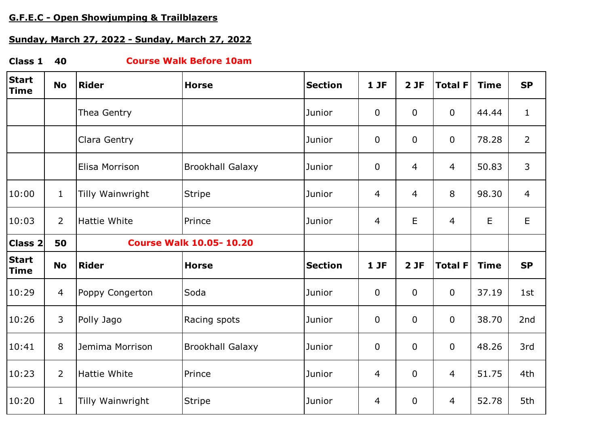# **G.F.E.C - Open Showjumping & Trailblazers**

# **Sunday, March 27, 2022 - Sunday, March 27, 2022**

#### **Class 1 40 Course Walk Before 10am**

| <b>Start</b><br><b>Time</b> | <b>No</b>      | <b>Rider</b>                   | <b>Horse</b>            | <b>Section</b> | 1JF            | 2JF            | <b>Total F</b> | <b>Time</b> | <b>SP</b>      |
|-----------------------------|----------------|--------------------------------|-------------------------|----------------|----------------|----------------|----------------|-------------|----------------|
|                             |                | Thea Gentry                    |                         | Junior         | $\mathbf 0$    | $\mathbf 0$    | $\mathbf 0$    | 44.44       | $\mathbf 1$    |
|                             |                | Clara Gentry                   |                         | Junior         | $\mathbf 0$    | $\overline{0}$ | $\mathbf 0$    | 78.28       | $\overline{2}$ |
|                             |                | Elisa Morrison                 | <b>Brookhall Galaxy</b> | Junior         | $\mathbf 0$    | $\overline{4}$ | $\overline{4}$ | 50.83       | 3              |
| 10:00                       | 1              | Tilly Wainwright               | <b>Stripe</b>           | Junior         | 4              | $\overline{4}$ | 8              | 98.30       | $\overline{4}$ |
| 10:03                       | $\overline{2}$ | Hattie White                   | Prince                  | Junior         | $\overline{4}$ | E              | 4              | E           | E              |
| Class 2                     | 50             | <b>Course Walk 10.05-10.20</b> |                         |                |                |                |                |             |                |
| <b>Start</b><br><b>Time</b> | <b>No</b>      | <b>Rider</b>                   | <b>Horse</b>            | <b>Section</b> | 1JF            | 2JF            | <b>Total F</b> | <b>Time</b> | <b>SP</b>      |
| 10:29                       | 4              | Poppy Congerton                | Soda                    | Junior         | $\mathbf 0$    | $\mathbf 0$    | $\mathbf 0$    | 37.19       | 1st            |
| 10:26                       | 3              | Polly Jago                     | Racing spots            | Junior         | $\mathbf 0$    | $\mathbf 0$    | $\mathbf 0$    | 38.70       | 2nd            |
| 10:41                       | 8              | Jemima Morrison                | <b>Brookhall Galaxy</b> | Junior         | $\mathbf 0$    | $\mathbf 0$    | $\mathbf 0$    | 48.26       | 3rd            |
| 10:23                       | $\overline{2}$ | <b>Hattie White</b>            | Prince                  | Junior         | 4              | $\mathbf 0$    | $\overline{4}$ | 51.75       | 4th            |
| 10:20                       | $\mathbf{1}$   | Tilly Wainwright               | <b>Stripe</b>           | Junior         | 4              | $\bf{0}$       | $\overline{4}$ | 52.78       | 5th            |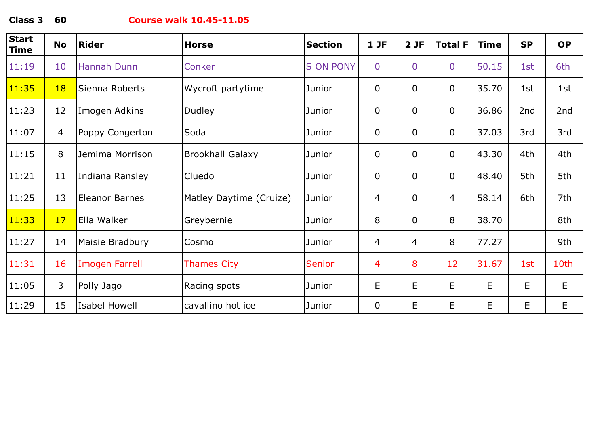**Class 3 60**

### **Course walk 10.45-11.05**

| <b>Start</b><br>Time | <b>No</b>      | <b>Rider</b>          | <b>Horse</b>            | <b>Section</b>   | 1JF            | 2JF            | <b>Total F</b> | <b>Time</b> | <b>SP</b> | <b>OP</b> |
|----------------------|----------------|-----------------------|-------------------------|------------------|----------------|----------------|----------------|-------------|-----------|-----------|
| 11:19                | 10             | Hannah Dunn           | Conker                  | <b>S ON PONY</b> | $\overline{0}$ | $\overline{0}$ | $\overline{0}$ | 50.15       | 1st       | 6th       |
| 11:35                | 18             | Sienna Roberts        | Wycroft partytime       | Junior           | $\mathbf 0$    | $\mathbf 0$    | $\mathbf 0$    | 35.70       | 1st       | 1st       |
| 11:23                | 12             | Imogen Adkins         | Dudley                  | Junior           | $\mathbf 0$    | $\overline{0}$ | $\mathbf 0$    | 36.86       | 2nd       | 2nd       |
| 11:07                | $\overline{4}$ | Poppy Congerton       | Soda                    | Junior           | $\mathbf 0$    | $\overline{0}$ | $\mathbf 0$    | 37.03       | 3rd       | 3rd       |
| 11:15                | 8              | Jemima Morrison       | <b>Brookhall Galaxy</b> | Junior           | $\mathbf 0$    | $\overline{0}$ | $\mathbf 0$    | 43.30       | 4th       | 4th       |
| 11:21                | 11             | Indiana Ransley       | Cluedo                  | Junior           | $\mathbf 0$    | $\overline{0}$ | $\mathbf 0$    | 48.40       | 5th       | 5th       |
| 11:25                | 13             | <b>Eleanor Barnes</b> | Matley Daytime (Cruize) | Junior           | 4              | $\overline{0}$ | 4              | 58.14       | 6th       | 7th       |
| 11:33                | 17             | Ella Walker           | Greybernie              | Junior           | 8              | $\overline{0}$ | 8              | 38.70       |           | 8th       |
| 11:27                | 14             | Maisie Bradbury       | Cosmo                   | Junior           | 4              | $\overline{4}$ | 8              | 77.27       |           | 9th       |
| 11:31                | 16             | <b>Imogen Farrell</b> | <b>Thames City</b>      | <b>Senior</b>    | 4              | 8              | 12             | 31.67       | 1st       | 10th      |
| 11:05                | $\mathsf{3}$   | Polly Jago            | Racing spots            | Junior           | E              | E              | E              | $\mathsf E$ | E         | E         |
| 11:29                | 15             | <b>Isabel Howell</b>  | cavallino hot ice       | Junior           | $\mathbf 0$    | E              | E.             | E           | E         | E         |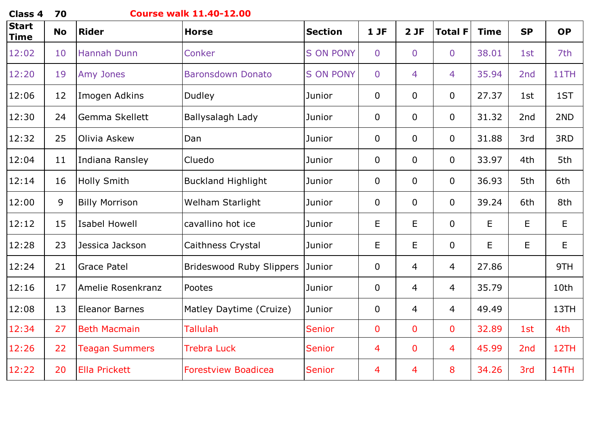| <b>Class 4</b>              | 70        | <b>Course walk 11.40-12.00</b> |                                 |                  |                |                |                |             |                 |           |  |  |
|-----------------------------|-----------|--------------------------------|---------------------------------|------------------|----------------|----------------|----------------|-------------|-----------------|-----------|--|--|
| <b>Start</b><br><b>Time</b> | <b>No</b> | <b>Rider</b>                   | <b>Horse</b>                    | <b>Section</b>   | $1$ JF         | 2JF            | <b>Total F</b> | <b>Time</b> | <b>SP</b>       | <b>OP</b> |  |  |
| 12:02                       | 10        | <b>Hannah Dunn</b>             | Conker                          | <b>S ON PONY</b> | $\overline{0}$ | $\overline{0}$ | $\overline{0}$ | 38.01       | 1st             | 7th       |  |  |
| 12:20                       | 19        | Amy Jones                      | <b>Baronsdown Donato</b>        | <b>S ON PONY</b> | $\overline{0}$ | $\overline{4}$ | $\overline{4}$ | 35.94       | 2nd             | 11TH      |  |  |
| 12:06                       | 12        | Imogen Adkins                  | Dudley                          | Junior           | 0              | $\overline{0}$ | $\mathbf 0$    | 27.37       | 1st             | 1ST       |  |  |
| 12:30                       | 24        | Gemma Skellett                 | Ballysalagh Lady                | Junior           | 0              | $\overline{0}$ | $\overline{0}$ | 31.32       | 2nd             | 2ND       |  |  |
| 12:32                       | 25        | Olivia Askew                   | Dan                             | Junior           | 0              | $\overline{0}$ | $\overline{0}$ | 31.88       | 3rd             | 3RD       |  |  |
| 12:04                       | 11        | Indiana Ransley                | Cluedo                          | Junior           | $\overline{0}$ | $\overline{0}$ | $\overline{0}$ | 33.97       | 4th             | 5th       |  |  |
| 12:14                       | 16        | <b>Holly Smith</b>             | <b>Buckland Highlight</b>       | Junior           | $\overline{0}$ | $\overline{0}$ | $\overline{0}$ | 36.93       | 5th             | 6th       |  |  |
| 12:00                       | 9         | <b>Billy Morrison</b>          | Welham Starlight                | Junior           | 0              | $\overline{0}$ | $\overline{0}$ | 39.24       | 6th             | 8th       |  |  |
| 12:12                       | 15        | <b>Isabel Howell</b>           | cavallino hot ice               | Junior           | E              | E              | $\Omega$       | E           | E               | E         |  |  |
| 12:28                       | 23        | Jessica Jackson                | Caithness Crystal               | Junior           | E              | E              | $\overline{0}$ | E           | E               | E         |  |  |
| 12:24                       | 21        | <b>Grace Patel</b>             | <b>Brideswood Ruby Slippers</b> | Junior           | 0              | $\overline{4}$ | 4              | 27.86       |                 | 9TH       |  |  |
| 12:16                       | 17        | Amelie Rosenkranz              | Pootes                          | Junior           | $\overline{0}$ | $\overline{4}$ | $\overline{4}$ | 35.79       |                 | 10th      |  |  |
| 12:08                       | 13        | <b>Eleanor Barnes</b>          | Matley Daytime (Cruize)         | Junior           | $\overline{0}$ | $\overline{4}$ | $\overline{4}$ | 49.49       |                 | 13TH      |  |  |
| 12:34                       | 27        | <b>Beth Macmain</b>            | <b>Tallulah</b>                 | <b>Senior</b>    | $\mathbf 0$    | $\overline{0}$ | $\mathbf 0$    | 32.89       | 1st             | 4th       |  |  |
| 12:26                       | 22        | <b>Teagan Summers</b>          | <b>Trebra Luck</b>              | <b>Senior</b>    | 4              | $\mathbf 0$    | 4              | 45.99       | 2 <sub>nd</sub> | 12TH      |  |  |
| 12:22                       | 20        | <b>Ella Prickett</b>           | <b>Forestview Boadicea</b>      | <b>Senior</b>    | 4              | 4              | 8              | 34.26       | 3rd             | 14TH      |  |  |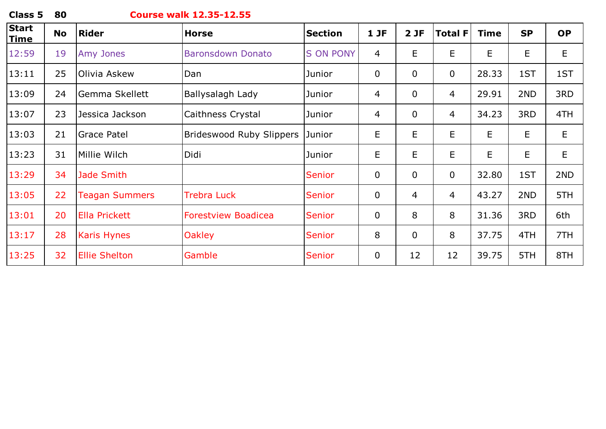## **Course walk 12.35-12.55**

| <b>Start</b><br><u>Time</u> | <b>No</b> | <b>Rider</b>          | <b>Horse</b>                    | <b>Section</b>   | 1JF         | 2JF            | <b>Total F</b> | <b>Time</b> | <b>SP</b> | <b>OP</b> |
|-----------------------------|-----------|-----------------------|---------------------------------|------------------|-------------|----------------|----------------|-------------|-----------|-----------|
| 12:59                       | 19        | Amy Jones             | <b>Baronsdown Donato</b>        | <b>S ON PONY</b> | 4           | E              | E              | E           | E         | E         |
| 13:11                       | 25        | Olivia Askew          | Dan                             | Junior           | $\mathbf 0$ | $\mathbf 0$    | $\mathbf 0$    | 28.33       | 1ST       | 1ST       |
| 13:09                       | 24        | Gemma Skellett        | Ballysalagh Lady                | Junior           | 4           | $\overline{0}$ | 4              | 29.91       | 2ND       | 3RD       |
| 13:07                       | 23        | Jessica Jackson       | Caithness Crystal               | Junior           | 4           | $\overline{0}$ | 4              | 34.23       | 3RD       | 4TH       |
| 13:03                       | 21        | <b>Grace Patel</b>    | <b>Brideswood Ruby Slippers</b> | Junior           | E           | E              | E              | E           | E         | E         |
| 13:23                       | 31        | Millie Wilch          | Didi                            | Junior           | E           | E              | E              | E           | E         | E         |
| 13:29                       | 34        | Jade Smith            |                                 | <b>Senior</b>    | $\mathbf 0$ | $\overline{0}$ | $\mathbf 0$    | 32.80       | 1ST       | 2ND       |
| 13:05                       | 22        | <b>Teagan Summers</b> | <b>Trebra Luck</b>              | <b>Senior</b>    | $\mathbf 0$ | 4              | 4              | 43.27       | 2ND       | 5TH       |
| 13:01                       | 20        | <b>Ella Prickett</b>  | <b>Forestview Boadicea</b>      | <b>Senior</b>    | $\mathbf 0$ | 8              | 8              | 31.36       | 3RD       | 6th       |
| 13:17                       | 28        | <b>Karis Hynes</b>    | <b>Oakley</b>                   | <b>Senior</b>    | 8           | $\mathbf 0$    | 8              | 37.75       | 4TH       | 7TH       |
| 13:25                       | 32        | <b>Ellie Shelton</b>  | Gamble                          | <b>Senior</b>    | 0           | 12             | 12             | 39.75       | 5TH       | 8TH       |